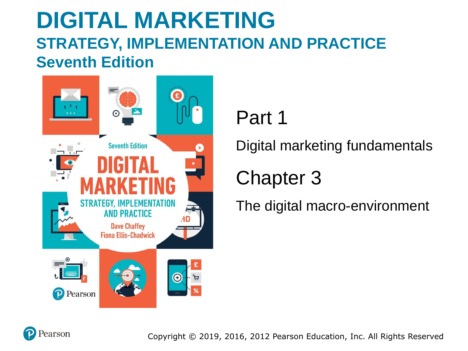### **DIGITAL MARKETING STRATEGY, IMPLEMENTATION AND PRACTICE Seventh Edition**



### Part 1

Digital marketing fundamentals

### Chapter 3

The digital macro-environment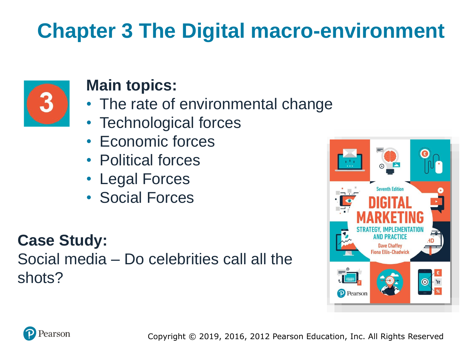# **Chapter 3 The Digital macro-environment**



#### **Main topics:**

- The rate of environmental change
- Technological forces
- Economic forces
- Political forces
- Legal Forces
- Social Forces

#### **Case Study:**

Social media – Do celebrities call all the shots?



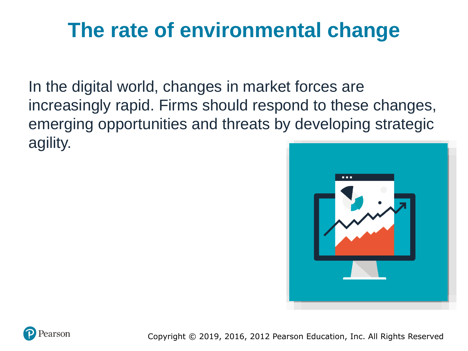### **The rate of environmental change**

In the digital world, changes in market forces are increasingly rapid. Firms should respond to these changes, emerging opportunities and threats by developing strategic agility.



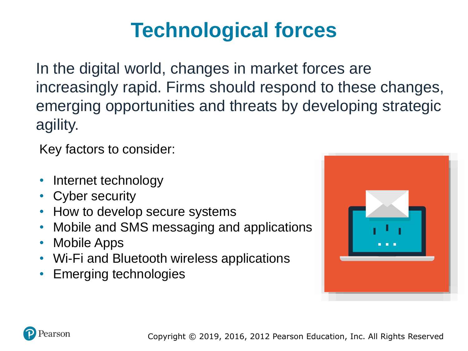# **Technological forces**

In the digital world, changes in market forces are increasingly rapid. Firms should respond to these changes, emerging opportunities and threats by developing strategic agility.

Key factors to consider:

- Internet technology
- **Cyber security**
- How to develop secure systems
- Mobile and SMS messaging and applications
- Mobile Apps
- Wi-Fi and Bluetooth wireless applications
- Emerging technologies



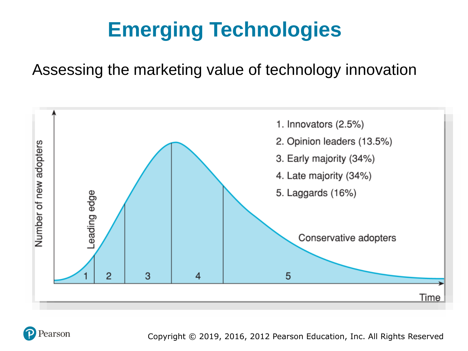# **Emerging Technologies**

#### Assessing the marketing value of technology innovation



earson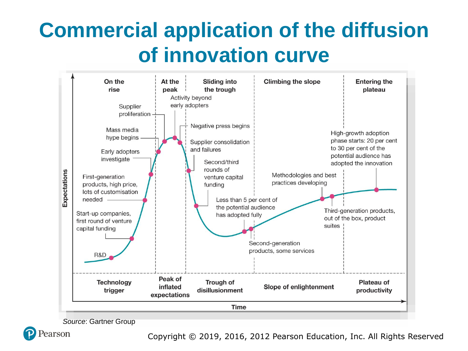## **Commercial application of the diffusion of innovation curve**



*Source*: Gartner Group

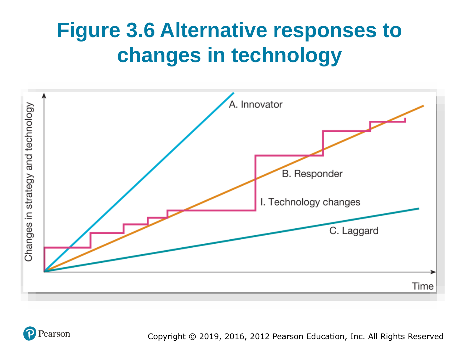## **Figure 3.6 Alternative responses to changes in technology**



earson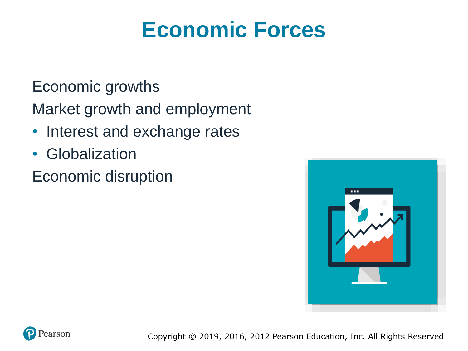## **Economic Forces**

#### Economic growths

Market growth and employment

- Interest and exchange rates
- Globalization

Economic disruption



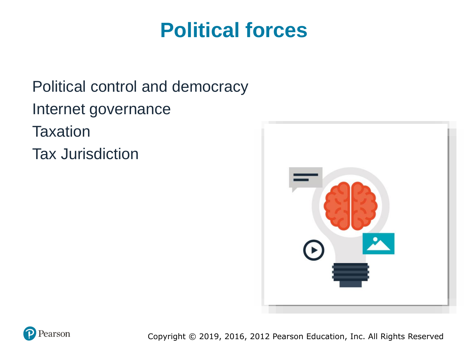### **Political forces**

Political control and democracy Internet governance **Taxation** Tax Jurisdiction



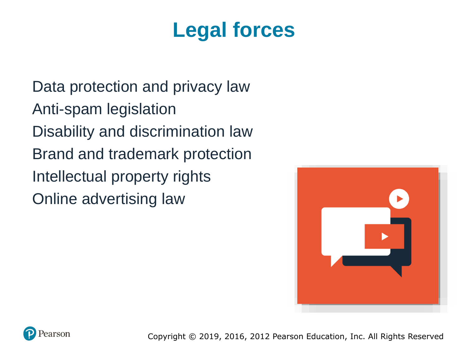## **Legal forces**

Data protection and privacy law Anti-spam legislation Disability and discrimination law Brand and trademark protection Intellectual property rights Online advertising law



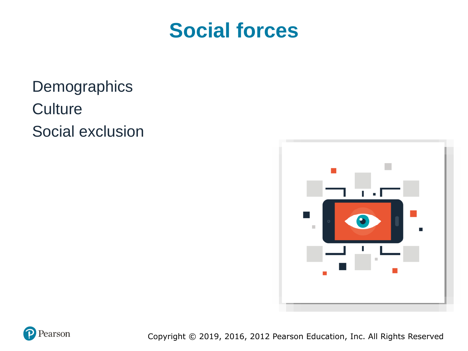### **Social forces**

**Demographics Culture** Social exclusion